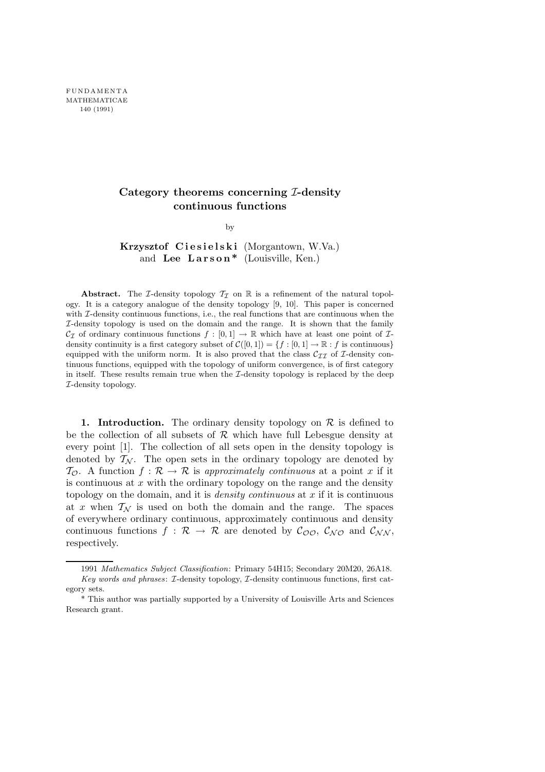## Category theorems concerning I-density continuous functions

by

Krzysztof Ciesielski (Morgantown, W.Va.) and Lee Larson<sup>\*</sup> (Louisville, Ken.)

Abstract. The *I*-density topology  $T_I$  on R is a refinement of the natural topology. It is a category analogue of the density topology [9, 10]. This paper is concerned with  $\mathcal{I}\text{-density continuous functions, i.e., the real functions that are continuous when the$ I-density topology is used on the domain and the range. It is shown that the family  $\mathcal{C}_{\mathcal{I}}$  of ordinary continuous functions  $f : [0, 1] \to \mathbb{R}$  which have at least one point of  $\mathcal{I}$ density continuity is a first category subset of  $\mathcal{C}([0,1]) = \{f : [0,1] \to \mathbb{R} : f \text{ is continuous}\}\$ equipped with the uniform norm. It is also proved that the class  $C_{II}$  of I-density continuous functions, equipped with the topology of uniform convergence, is of first category in itself. These results remain true when the I-density topology is replaced by the deep I-density topology.

1. Introduction. The ordinary density topology on  $\mathcal R$  is defined to be the collection of all subsets of  $R$  which have full Lebesgue density at every point [1]. The collection of all sets open in the density topology is denoted by  $T_N$ . The open sets in the ordinary topology are denoted by  $\mathcal{T}_{\mathcal{O}}$ . A function  $f : \mathcal{R} \to \mathcal{R}$  is approximately continuous at a point x if it is continuous at  $x$  with the ordinary topology on the range and the density topology on the domain, and it is *density continuous* at  $x$  if it is continuous at x when  $\mathcal{T}_\mathcal{N}$  is used on both the domain and the range. The spaces of everywhere ordinary continuous, approximately continuous and density continuous functions  $f : \mathcal{R} \to \mathcal{R}$  are denoted by  $\mathcal{C}_{\mathcal{O}\mathcal{O}}$ ,  $\mathcal{C}_{\mathcal{N}\mathcal{O}}$  and  $\mathcal{C}_{\mathcal{NN}}$ , respectively.

<sup>1991</sup> Mathematics Subject Classification: Primary 54H15; Secondary 20M20, 26A18. Key words and phrases: I-density topology, I-density continuous functions, first category sets.

<sup>\*</sup> This author was partially supported by a University of Louisville Arts and Sciences Research grant.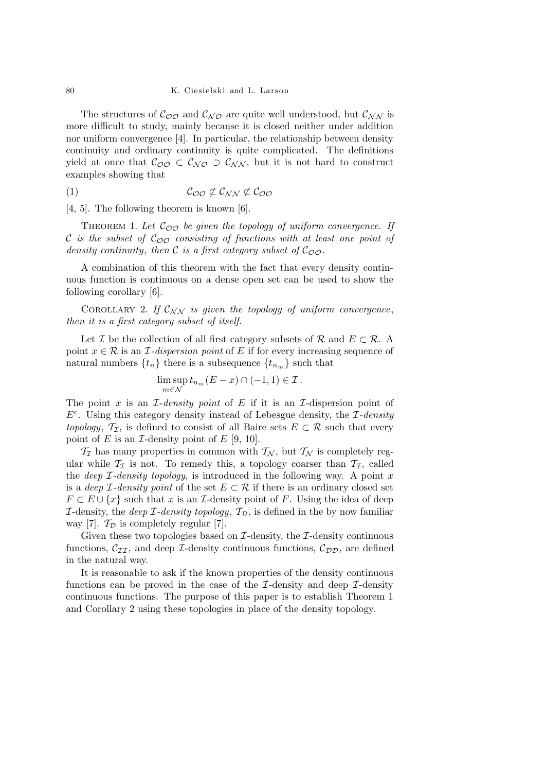## 80 K. Ciesielski and L. Larson

The structures of  $C_{\mathcal{O}\mathcal{O}}$  and  $C_{\mathcal{NO}}$  are quite well understood, but  $C_{\mathcal{NN}}$  is more difficult to study, mainly because it is closed neither under addition nor uniform convergence [4]. In particular, the relationship between density continuity and ordinary continuity is quite complicated. The definitions yield at once that  $\mathcal{C}_{\mathcal{O}\mathcal{O}} \subset \mathcal{C}_{\mathcal{N}\mathcal{O}} \supset \mathcal{C}_{\mathcal{N}\mathcal{N}}$ , but it is not hard to construct examples showing that

(1) COO 6⊂ C<sup>N</sup> <sup>N</sup> 6⊂ COO

[4, 5]. The following theorem is known [6].

THEOREM 1. Let  $\mathcal{C}_{\mathcal{O}\mathcal{O}}$  be given the topology of uniform convergence. If C is the subset of  $\mathcal{C}_{\mathcal{O}\mathcal{O}}$  consisting of functions with at least one point of density continuity, then C is a first category subset of  $\mathcal{C}_{\mathcal{O}\mathcal{O}}$ .

A combination of this theorem with the fact that every density continuous function is continuous on a dense open set can be used to show the following corollary [6].

COROLLARY 2. If  $\mathcal{C}_{NN}$  is given the topology of uniform convergence, then it is a first category subset of itself.

Let I be the collection of all first category subsets of R and  $E \subset \mathcal{R}$ . A point  $x \in \mathcal{R}$  is an *I*-dispersion point of E if for every increasing sequence of natural numbers  $\{t_n\}$  there is a subsequence  $\{t_{n_m}\}$  such that

$$
\limsup_{m \in \mathcal{N}} t_{n_m}(E - x) \cap (-1, 1) \in \mathcal{I}.
$$

The point x is an  $\mathcal{I}\text{-density point}$  of E if it is an  $\mathcal{I}\text{-dispersion point}$  of  $E<sup>c</sup>$ . Using this category density instead of Lebesgue density, the  $\mathcal{I}\text{-}density$ topology,  $\mathcal{T}_{\mathcal{I}}$ , is defined to consist of all Baire sets  $E \subset \mathcal{R}$  such that every point of E is an  $\mathcal I$ -density point of E [9, 10].

 $\mathcal{T}_{\mathcal{I}}$  has many properties in common with  $\mathcal{T}_{\mathcal{N}}$ , but  $\mathcal{T}_{\mathcal{N}}$  is completely regular while  $\mathcal{T}_{\mathcal{I}}$  is not. To remedy this, a topology coarser than  $\mathcal{T}_{\mathcal{I}}$ , called the *deep*  $\mathcal{I}\text{-}density topology,$  is introduced in the following way. A point x is a deep *I*-density point of the set  $E \subset \mathcal{R}$  if there is an ordinary closed set  $F \subset E \cup \{x\}$  such that x is an *I*-density point of F. Using the idea of deep *I*-density, the *deep I-density topology*,  $\mathcal{T}_{\mathcal{D}}$ , is defined in the by now familiar way [7].  $\mathcal{T}_{\mathcal{D}}$  is completely regular [7].

Given these two topologies based on  $\mathcal{I}\text{-density}$ , the  $\mathcal{I}\text{-density}$  continuous functions,  $\mathcal{C}_{II}$ , and deep *I*-density continuous functions,  $\mathcal{C}_{DD}$ , are defined in the natural way.

It is reasonable to ask if the known properties of the density continuous functions can be proved in the case of the  $\mathcal{I}\text{-density}$  and deep  $\mathcal{I}\text{-density}$ continuous functions. The purpose of this paper is to establish Theorem 1 and Corollary 2 using these topologies in place of the density topology.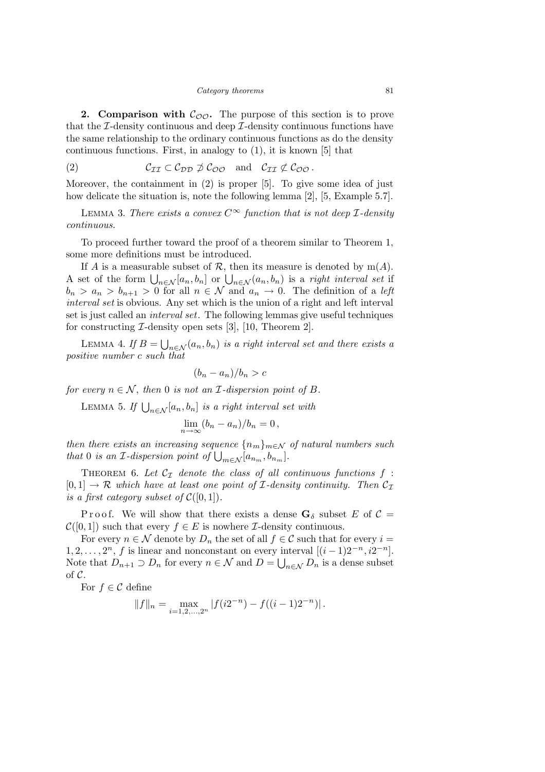**2. Comparison with**  $\mathcal{C}_{\mathcal{O}\mathcal{O}}$ **.** The purpose of this section is to prove that the  $\mathcal{I}\text{-density continuous}$  and deep  $\mathcal{I}\text{-density}$  continuous functions have the same relationship to the ordinary continuous functions as do the density continuous functions. First, in analogy to (1), it is known [5] that

(2) 
$$
C_{II} \subset C_{DD} \not\supset C_{OO}
$$
 and  $C_{II} \not\subset C_{OO}$ .

Moreover, the containment in (2) is proper [5]. To give some idea of just how delicate the situation is, note the following lemma [2], [5, Example 5.7].

LEMMA 3. There exists a convex  $C^{\infty}$  function that is not deep *I*-density continuous.

To proceed further toward the proof of a theorem similar to Theorem 1, some more definitions must be introduced.

If A is a measurable subset of R, then its measure is denoted by  $m(A)$ . A set of the form  $\bigcup_{n\in\mathcal{N}}[a_n, b_n]$  or  $\bigcup_{n\in\mathcal{N}}(a_n, b_n)$  is a right interval set if  $b_n > a_n > b_{n+1} > 0$  for all  $n \in \mathcal{N}$  and  $a_n \to 0$ . The definition of a left interval set is obvious. Any set which is the union of a right and left interval set is just called an interval set. The following lemmas give useful techniques for constructing  $\mathcal{I}\text{-density}$  open sets [3], [10, Theorem 2].

LEMMA 4. If  $B = \bigcup_{n \in \mathcal{N}} (a_n, b_n)$  is a right interval set and there exists a positive number c such that

$$
(b_n - a_n)/b_n > c
$$

for every  $n \in \mathcal{N}$ , then 0 is not an *I*-dispersion point of *B*.

LEMMA 5. If  $\bigcup_{n\in\mathcal{N}} [a_n, b_n]$  is a right interval set with

$$
\lim_{n\to\infty}(b_n-a_n)/b_n=0,
$$

then there exists an increasing sequence  ${n_m}_{m\in\mathcal{N}}$  of natural numbers such that 0 is an *I*-dispersion point of  $\bigcup_{m \in \mathcal{N}} [a_{n_m}, b_{n_m}].$ 

THEOREM 6. Let  $C_{\mathcal{I}}$  denote the class of all continuous functions  $f$ :  $[0, 1] \rightarrow \mathcal{R}$  which have at least one point of *I*-density continuity. Then  $\mathcal{C}_{\mathcal{I}}$ is a first category subset of  $\mathcal{C}([0,1])$ .

P r o o f. We will show that there exists a dense  $G_{\delta}$  subset E of  $\mathcal{C} =$  $\mathcal{C}([0,1])$  such that every  $f \in E$  is nowhere *I*-density continuous.

For every  $n \in \mathcal{N}$  denote by  $D_n$  the set of all  $f \in \mathcal{C}$  such that for every  $i =$  $1, 2, \ldots, 2^n, f$  is linear and nonconstant on every interval  $[(i-1)2^{-n}, i2^{-n}]$ . Note that  $D_{n+1} \supset D_n$  for every  $n \in \mathcal{N}$  and  $D = \bigcup_{n \in \mathcal{N}} D_n$  is a dense subset of  $\mathcal{C}$ .

For  $f \in \mathcal{C}$  define

$$
||f||_n = \max_{i=1,2,\dots,2^n} |f(i2^{-n}) - f((i-1)2^{-n})|.
$$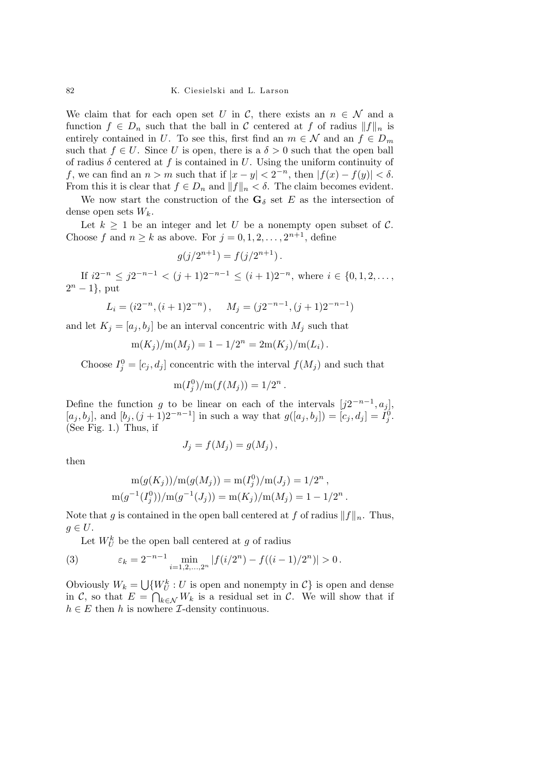We claim that for each open set U in C, there exists an  $n \in \mathcal{N}$  and a function  $f \in D_n$  such that the ball in C centered at f of radius  $||f||_n$  is entirely contained in U. To see this, first find an  $m \in \mathcal{N}$  and an  $f \in D_m$ such that  $f \in U$ . Since U is open, there is a  $\delta > 0$  such that the open ball of radius  $\delta$  centered at f is contained in U. Using the uniform continuity of f, we can find an  $n > m$  such that if  $|x - y| < 2^{-n}$ , then  $|f(x) - f(y)| < \delta$ . From this it is clear that  $f \in D_n$  and  $||f||_n < \delta$ . The claim becomes evident.

We now start the construction of the  $\mathbf{G}_{\delta}$  set E as the intersection of dense open sets  $W_k$ .

Let  $k \geq 1$  be an integer and let U be a nonempty open subset of C. Choose f and  $n \geq k$  as above. For  $j = 0, 1, 2, \ldots, 2^{n+1}$ , define

$$
g(j/2^{n+1}) = f(j/2^{n+1}).
$$

If  $i2^{-n} \leq j2^{-n-1} < (j+1)2^{-n-1} \leq (i+1)2^{-n}$ , where  $i \in \{0,1,2,\ldots,$  $2^n - 1$ , put

$$
L_i = (i2^{-n}, (i+1)2^{-n}), \qquad M_j = (j2^{-n-1}, (j+1)2^{-n-1})
$$

and let  $K_i = [a_i, b_i]$  be an interval concentric with  $M_i$  such that

$$
m(K_j)/m(M_j) = 1 - 1/2^n = 2m(K_j)/m(L_i).
$$

Choose  $I_j^0 = [c_j, d_j]$  concentric with the interval  $f(M_j)$  and such that

$$
m(I_j^0)/m(f(M_j)) = 1/2^n.
$$

Define the function g to be linear on each of the intervals  $[j2^{-n-1}, a_j]$ ,  $[a_j, b_j]$ , and  $[b_j, (j + 1)2^{-n-1}]$  in such a way that  $g([a_j, b_j]) = [c_j, d_j] = \tilde{I}_j^0$ . (See Fig. 1.) Thus, if

$$
J_j = f(M_j) = g(M_j) \,,
$$

then

$$
m(g(K_j))/m(g(M_j)) = m(I_j^0)/m(J_j) = 1/2^n,
$$
  
 
$$
m(g^{-1}(I_j^0))/m(g^{-1}(J_j)) = m(K_j)/m(M_j) = 1 - 1/2^n.
$$

Note that g is contained in the open ball centered at f of radius  $||f||_n$ . Thus,  $g \in U$ .

Let  $W_U^k$  be the open ball centered at g of radius

(3) 
$$
\varepsilon_k = 2^{-n-1} \min_{i=1,2,\dots,2^n} |f(i/2^n) - f((i-1)/2^n)| > 0.
$$

Obviously  $W_k = \bigcup \{W_U^k : U \text{ is open and nonempty in } C\}$  is open and dense in C, so that  $E = \bigcap_{k \in \mathcal{N}} W_k$  is a residual set in C. We will show that if  $h \in E$  then h is nowhere *I*-density continuous.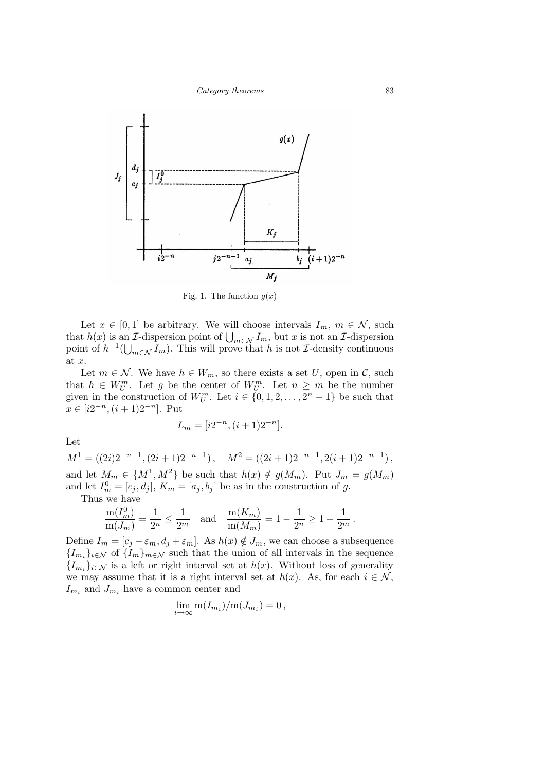

Fig. 1. The function  $g(x)$ 

Let  $x \in [0,1]$  be arbitrary. We will choose intervals  $I_m$ ,  $m \in \mathcal{N}$ , such that  $h(x)$  is an *I*-dispersion point of  $\bigcup_{m\in\mathcal{N}} I_m$ , but x is not an *I*-dispersion point of  $h^{-1}(\bigcup_{m\in\mathcal{N}}I_m)$ . This will prove that h is not *I*-density continuous at  $x$ .

Let  $m \in \mathcal{N}$ . We have  $h \in W_m$ , so there exists a set U, open in C, such that  $h \in W_U^m$ . Let g be the center of  $W_U^m$ . Let  $n \geq m$  be the number given in the construction of  $W_U^m$ . Let  $i \in \{0, 1, 2, \ldots, 2^n - 1\}$  be such that  $x \in [i2^{-n}, (i+1)2^{-n}]$ . Put

$$
L_m = [i2^{-n}, (i+1)2^{-n}].
$$

Let

 $M^{1} = ((2i)2^{-n-1}, (2i+1)2^{-n-1}), \quad M^{2} = ((2i+1)2^{-n-1}, 2(i+1)2^{-n-1}),$ and let  $M_m \in \{M^1, M^2\}$  be such that  $h(x) \notin g(M_m)$ . Put  $J_m = g(M_m)$ and let  $I_m^0 = [c_j, d_j], K_m = [a_j, b_j]$  be as in the construction of g.

Thus we have

$$
\frac{\mathrm{m}(I_m^0)}{\mathrm{m}(J_m)} = \frac{1}{2^n} \le \frac{1}{2^m} \quad \text{and} \quad \frac{\mathrm{m}(K_m)}{\mathrm{m}(M_m)} = 1 - \frac{1}{2^n} \ge 1 - \frac{1}{2^m}
$$

Define  $I_m = [c_j - \varepsilon_m, d_j + \varepsilon_m]$ . As  $h(x) \notin J_m$ , we can choose a subsequence  ${I_{m_i}}_{i\in\mathcal{N}}$  of  ${I_m}_{m\in\mathcal{N}}$  such that the union of all intervals in the sequence  ${I_{m_i}}_{i \in \mathcal{N}}$  is a left or right interval set at  $h(x)$ . Without loss of generality we may assume that it is a right interval set at  $h(x)$ . As, for each  $i \in \mathcal{N}$ ,  $I_{m_i}$  and  $J_{m_i}$  have a common center and

$$
\lim_{i \to \infty} \mathrm{m}(I_{m_i})/\mathrm{m}(J_{m_i}) = 0,
$$

.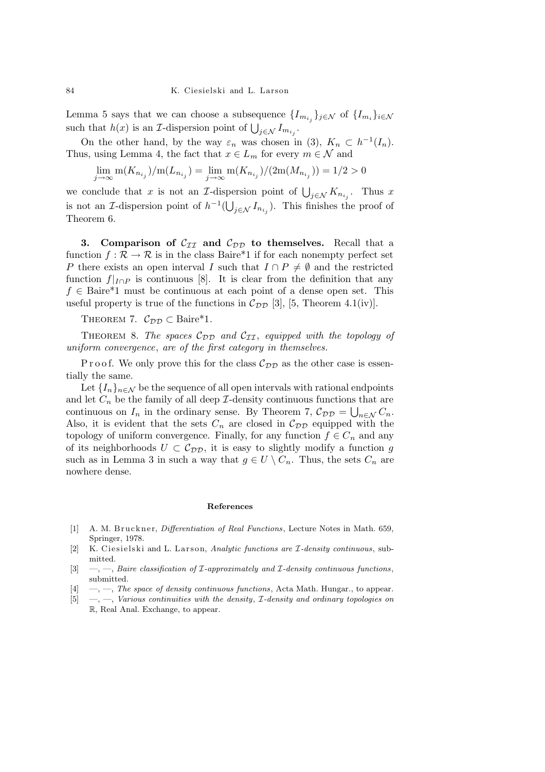Lemma 5 says that we can choose a subsequence  $\{I_{m_{i_j}}\}_{j\in\mathcal{N}}$  of  $\{I_{m_i}\}_{i\in\mathcal{N}}$ such that  $h(x)$  is an *I*-dispersion point of  $\bigcup_{j \in \mathcal{N}} I_{m_{i_j}}$ .

On the other hand, by the way  $\varepsilon_n$  was chosen in (3),  $K_n \subset h^{-1}(I_n)$ . Thus, using Lemma 4, the fact that  $x \in L_m$  for every  $m \in \mathcal{N}$  and

 $\lim_{j \to \infty} \text{m}(K_{n_{i_j}})/\text{m}(L_{n_{i_j}}) = \lim_{j \to \infty} \text{m}(K_{n_{i_j}})/(2\text{m}(M_{n_{i_j}})) = 1/2 > 0$ 

we conclude that x is not an *I*-dispersion point of  $\bigcup_{j\in\mathcal{N}} K_{n_{i_j}}$ . Thus x is not an *I*-dispersion point of  $h^{-1}(\bigcup_{j\in\mathcal{N}} I_{n_{i_j}})$ . This finishes the proof of Theorem 6.

3. Comparison of  $C_{II}$  and  $C_{DD}$  to themselves. Recall that a function  $f : \mathcal{R} \to \mathcal{R}$  is in the class Baire\*1 if for each nonempty perfect set P there exists an open interval I such that  $I \cap P \neq \emptyset$  and the restricted function  $f|_{I\cap P}$  is continuous [8]. It is clear from the definition that any  $f \in \text{Baire*1}$  must be continuous at each point of a dense open set. This useful property is true of the functions in  $\mathcal{C}_{\mathcal{DD}}$  [3], [5, Theorem 4.1(iv)].

THEOREM 7.  $\mathcal{C}_{\mathcal{DD}} \subset \text{Baire*1}.$ 

THEOREM 8. The spaces  $\mathcal{C}_{\mathcal{DD}}$  and  $\mathcal{C}_{\mathcal{TI}}$ , equipped with the topology of uniform convergence, are of the first category in themselves.

P r o o f. We only prove this for the class  $\mathcal{C}_{DD}$  as the other case is essentially the same.

Let  $\{I_n\}_{n\in\mathcal{N}}$  be the sequence of all open intervals with rational endpoints and let  $C_n$  be the family of all deep  $\mathcal I$ -density continuous functions that are continuous on  $I_n$  in the ordinary sense. By Theorem 7,  $\mathcal{C}_{\mathcal{D}\mathcal{D}} = \bigcup_{n \in \mathcal{N}} C_n$ . Also, it is evident that the sets  $C_n$  are closed in  $\mathcal{C}_{\mathcal{D}\mathcal{D}}$  equipped with the topology of uniform convergence. Finally, for any function  $f \in C_n$  and any of its neighborhoods  $U \subset \mathcal{C}_{\mathcal{DD}}$ , it is easy to slightly modify a function g such as in Lemma 3 in such a way that  $g \in U \setminus C_n$ . Thus, the sets  $C_n$  are nowhere dense.

## References

- [1] A. M. Bruckner, *Differentiation of Real Functions*, Lecture Notes in Math. 659, Springer, 1978.
- [2] K. Ciesielski and L. Larson, Analytic functions are  $\mathcal{I}\text{-}density\ continuous$ , submitted.
- [3]  $\ldots$   $\ldots$  Baire classification of *L*-approximately and *L*-density continuous functions, submitted.
- $[4] \quad -,-$ , The space of density continuous functions, Acta Math. Hungar., to appear.
- [5] —, —, Various continuities with the density, I-density and ordinary topologies on R, Real Anal. Exchange, to appear.